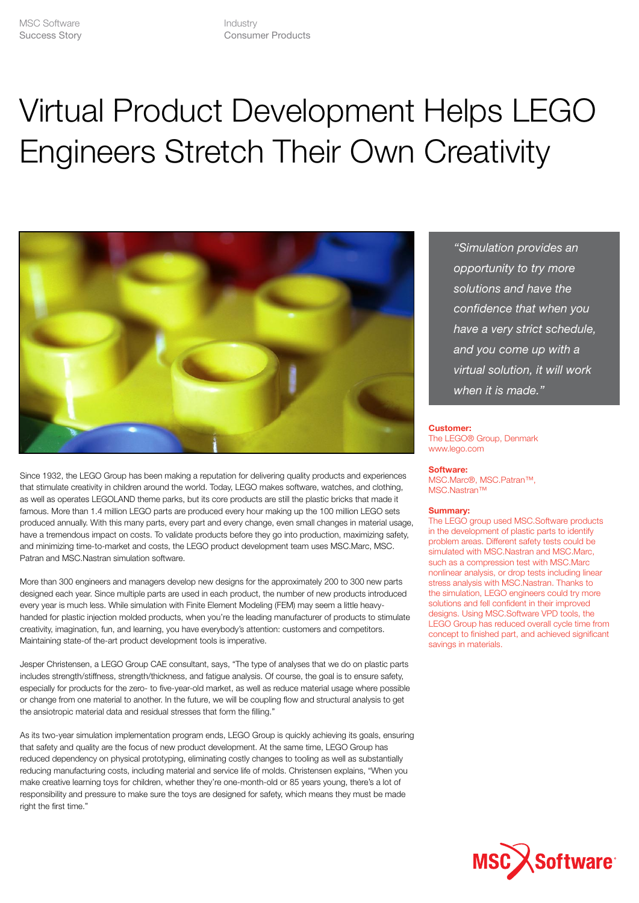# Virtual Product Development Helps LEGO Engineers Stretch Their Own Creativity



Since 1932, the LEGO Group has been making a reputation for delivering quality products and experiences that stimulate creativity in children around the world. Today, LEGO makes software, watches, and clothing, as well as operates LEGOLAND theme parks, but its core products are still the plastic bricks that made it famous. More than 1.4 million LEGO parts are produced every hour making up the 100 million LEGO sets produced annually. With this many parts, every part and every change, even small changes in material usage, have a tremendous impact on costs. To validate products before they go into production, maximizing safety, and minimizing time-to-market and costs, the LEGO product development team uses MSC.Marc, MSC. Patran and MSC.Nastran simulation software.

More than 300 engineers and managers develop new designs for the approximately 200 to 300 new parts designed each year. Since multiple parts are used in each product, the number of new products introduced every year is much less. While simulation with Finite Element Modeling (FEM) may seem a little heavyhanded for plastic injection molded products, when you're the leading manufacturer of products to stimulate creativity, imagination, fun, and learning, you have everybody's attention: customers and competitors. Maintaining state-of the-art product development tools is imperative.

Jesper Christensen, a LEGO Group CAE consultant, says, "The type of analyses that we do on plastic parts includes strength/stiffness, strength/thickness, and fatigue analysis. Of course, the goal is to ensure safety, especially for products for the zero- to five-year-old market, as well as reduce material usage where possible or change from one material to another. In the future, we will be coupling flow and structural analysis to get the ansiotropic material data and residual stresses that form the filling."

As its two-year simulation implementation program ends, LEGO Group is quickly achieving its goals, ensuring that safety and quality are the focus of new product development. At the same time, LEGO Group has reduced dependency on physical prototyping, eliminating costly changes to tooling as well as substantially reducing manufacturing costs, including material and service life of molds. Christensen explains, "When you make creative learning toys for children, whether they're one-month-old or 85 years young, there's a lot of responsibility and pressure to make sure the toys are designed for safety, which means they must be made right the first time."

*"Simulation provides an opportunity to try more solutions and have the confidence that when you have a very strict schedule, and you come up with a virtual solution, it will work when it is made."*

#### **Customer:**

The LEGO® Group, Denmark www.lego.com

#### **Software:**

MSC.Marc®, MSC.Patran™, MSC.Nastran™

## **Summary:**

The LEGO group used MSC.Software products in the development of plastic parts to identify problem areas. Different safety tests could be simulated with MSC.Nastran and MSC.Marc, such as a compression test with MSC.Marc nonlinear analysis, or drop tests including linear stress analysis with MSC.Nastran. Thanks to the simulation, LEGO engineers could try more solutions and fell confident in their improved designs. Using MSC.Software VPD tools, the LEGO Group has reduced overall cycle time from concept to finished part, and achieved significant savings in materials.